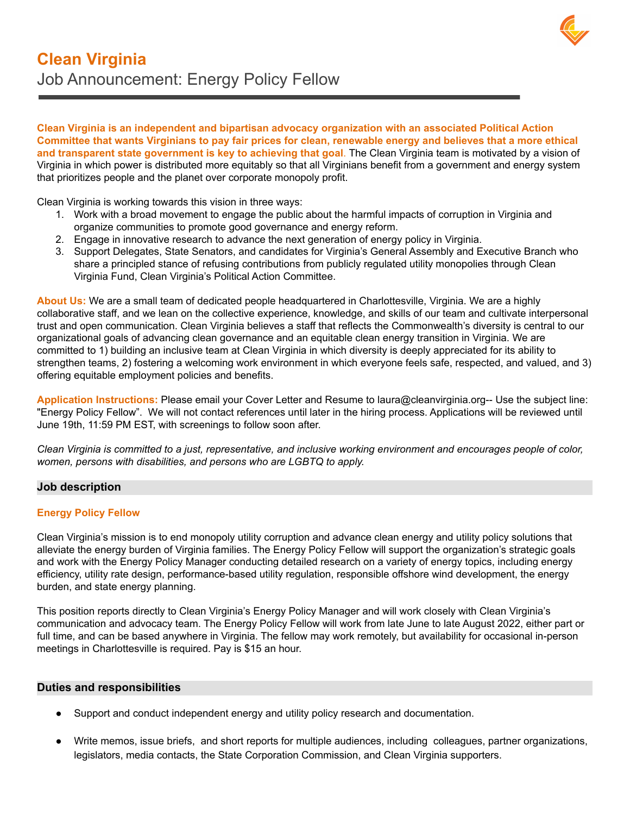

**Clean Virginia is an independent and bipartisan advocacy organization with an associated Political Action** Committee that wants Virginians to pay fair prices for clean, renewable energy and believes that a more ethical **and transparent state government is key to achieving that goal**. The Clean Virginia team is motivated by a vision of Virginia in which power is distributed more equitably so that all Virginians benefit from a government and energy system that prioritizes people and the planet over corporate monopoly profit.

Clean Virginia is working towards this vision in three ways:

- 1. Work with a broad movement to engage the public about the harmful impacts of corruption in Virginia and organize communities to promote good governance and energy reform.
- 2. Engage in innovative research to advance the next generation of energy policy in Virginia.
- 3. Support Delegates, State Senators, and candidates for Virginia's General Assembly and Executive Branch who share a principled stance of refusing contributions from publicly regulated utility monopolies through Clean Virginia Fund, Clean Virginia's Political Action Committee.

**About Us:** We are a small team of dedicated people headquartered in Charlottesville, Virginia. We are a highly collaborative staff, and we lean on the collective experience, knowledge, and skills of our team and cultivate interpersonal trust and open communication. Clean Virginia believes a staff that reflects the Commonwealth's diversity is central to our organizational goals of advancing clean governance and an equitable clean energy transition in Virginia. We are committed to 1) building an inclusive team at Clean Virginia in which diversity is deeply appreciated for its ability to strengthen teams, 2) fostering a welcoming work environment in which everyone feels safe, respected, and valued, and 3) offering equitable employment policies and benefits.

**Application Instructions:** Please email your Cover Letter and Resume to laura@cleanvirginia.org-- Use the subject line: "Energy Policy Fellow". We will not contact references until later in the hiring process. Applications will be reviewed until June 19th, 11:59 PM EST, with screenings to follow soon after.

Clean Virginia is committed to a just, representative, and inclusive working environment and encourages people of color, *women, persons with disabilities, and persons who are LGBTQ to apply.*

# **Job description**

### **Energy Policy Fellow**

Clean Virginia's mission is to end monopoly utility corruption and advance clean energy and utility policy solutions that alleviate the energy burden of Virginia families. The Energy Policy Fellow will support the organization's strategic goals and work with the Energy Policy Manager conducting detailed research on a variety of energy topics, including energy efficiency, utility rate design, performance-based utility regulation, responsible offshore wind development, the energy burden, and state energy planning.

This position reports directly to Clean Virginia's Energy Policy Manager and will work closely with Clean Virginia's communication and advocacy team. The Energy Policy Fellow will work from late June to late August 2022, either part or full time, and can be based anywhere in Virginia. The fellow may work remotely, but availability for occasional in-person meetings in Charlottesville is required. Pay is \$15 an hour.

### **Duties and responsibilities**

- Support and conduct independent energy and utility policy research and documentation.
- Write memos, issue briefs, and short reports for multiple audiences, including colleagues, partner organizations, legislators, media contacts, the State Corporation Commission, and Clean Virginia supporters.